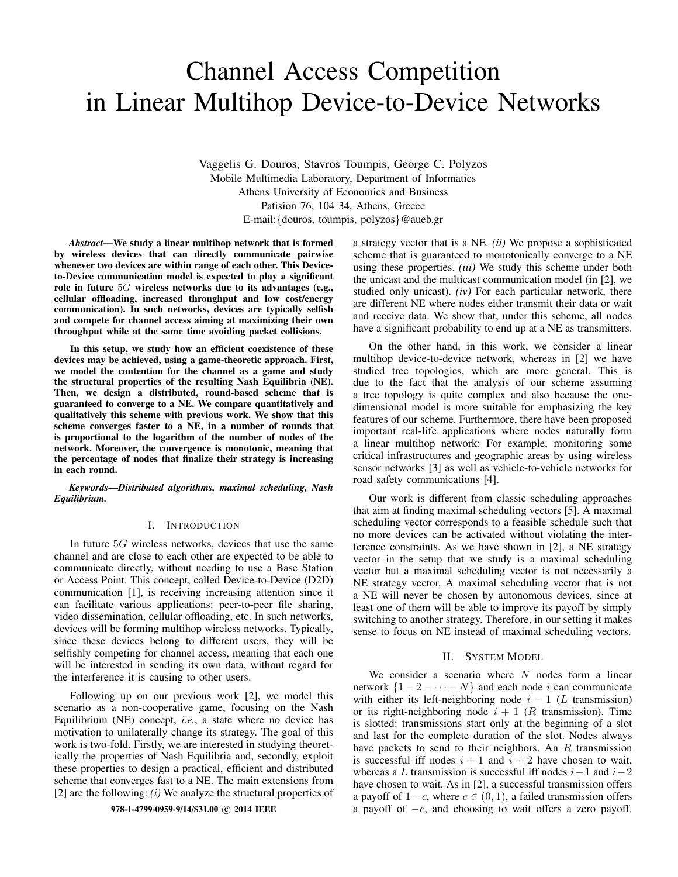# Channel Access Competition in Linear Multihop Device-to-Device Networks

Vaggelis G. Douros, Stavros Toumpis, George C. Polyzos Mobile Multimedia Laboratory, Department of Informatics Athens University of Economics and Business Patision 76, 104 34, Athens, Greece E-mail:{douros, toumpis, polyzos}@aueb.gr

*Abstract***—We study a linear multihop network that is formed by wireless devices that can directly communicate pairwise whenever two devices are within range of each other. This Deviceto-Device communication model is expected to play a significant role in future** 5G **wireless networks due to its advantages (e.g., cellular offloading, increased throughput and low cost/energy communication). In such networks, devices are typically selfish and compete for channel access aiming at maximizing their own throughput while at the same time avoiding packet collisions.**

**In this setup, we study how an efficient coexistence of these devices may be achieved, using a game-theoretic approach. First, we model the contention for the channel as a game and study the structural properties of the resulting Nash Equilibria (NE). Then, we design a distributed, round-based scheme that is guaranteed to converge to a NE. We compare quantitatively and qualitatively this scheme with previous work. We show that this scheme converges faster to a NE, in a number of rounds that is proportional to the logarithm of the number of nodes of the network. Moreover, the convergence is monotonic, meaning that the percentage of nodes that finalize their strategy is increasing in each round.**

*Keywords***—***Distributed algorithms, maximal scheduling, Nash Equilibrium.*

# I. INTRODUCTION

In future  $5G$  wireless networks, devices that use the same channel and are close to each other are expected to be able to communicate directly, without needing to use a Base Station or Access Point. This concept, called Device-to-Device (D2D) communication [1], is receiving increasing attention since it can facilitate various applications: peer-to-peer file sharing, video dissemination, cellular offloading, etc. In such networks, devices will be forming multihop wireless networks. Typically, since these devices belong to different users, they will be selfishly competing for channel access, meaning that each one will be interested in sending its own data, without regard for the interference it is causing to other users.

Following up on our previous work [2], we model this scenario as a non-cooperative game, focusing on the Nash Equilibrium (NE) concept, *i.e.*, a state where no device has motivation to unilaterally change its strategy. The goal of this work is two-fold. Firstly, we are interested in studying theoretically the properties of Nash Equilibria and, secondly, exploit these properties to design a practical, efficient and distributed scheme that converges fast to a NE. The main extensions from [2] are the following: *(i)* We analyze the structural properties of

a strategy vector that is a NE. *(ii)* We propose a sophisticated scheme that is guaranteed to monotonically converge to a NE using these properties. *(iii)* We study this scheme under both the unicast and the multicast communication model (in [2], we studied only unicast). *(iv)* For each particular network, there are different NE where nodes either transmit their data or wait and receive data. We show that, under this scheme, all nodes have a significant probability to end up at a NE as transmitters.

On the other hand, in this work, we consider a linear multihop device-to-device network, whereas in [2] we have studied tree topologies, which are more general. This is due to the fact that the analysis of our scheme assuming a tree topology is quite complex and also because the onedimensional model is more suitable for emphasizing the key features of our scheme. Furthermore, there have been proposed important real-life applications where nodes naturally form a linear multihop network: For example, monitoring some critical infrastructures and geographic areas by using wireless sensor networks [3] as well as vehicle-to-vehicle networks for road safety communications [4].

Our work is different from classic scheduling approaches that aim at finding maximal scheduling vectors [5]. A maximal scheduling vector corresponds to a feasible schedule such that no more devices can be activated without violating the interference constraints. As we have shown in [2], a NE strategy vector in the setup that we study is a maximal scheduling vector but a maximal scheduling vector is not necessarily a NE strategy vector. A maximal scheduling vector that is not a NE will never be chosen by autonomous devices, since at least one of them will be able to improve its payoff by simply switching to another strategy. Therefore, in our setting it makes sense to focus on NE instead of maximal scheduling vectors.

#### II. SYSTEM MODEL

We consider a scenario where  $N$  nodes form a linear network  $\{1 - 2 - \cdots - N\}$  and each node i can communicate with either its left-neighboring node  $i - 1$  (L transmission) or its right-neighboring node  $i + 1$  (R transmission). Time is slotted: transmissions start only at the beginning of a slot and last for the complete duration of the slot. Nodes always have packets to send to their neighbors. An  $R$  transmission is successful iff nodes  $i + 1$  and  $i + 2$  have chosen to wait, whereas a L transmission is successful iff nodes  $i-1$  and  $i-2$ have chosen to wait. As in [2], a successful transmission offers a payoff of  $1-c$ , where  $c \in (0,1)$ , a failed transmission offers **978-1-4799-0959-9/14/\$31.00 ⊙ 2014 IEEE** a payoff of  $-c$ , and choosing to wait offers a zero payoff.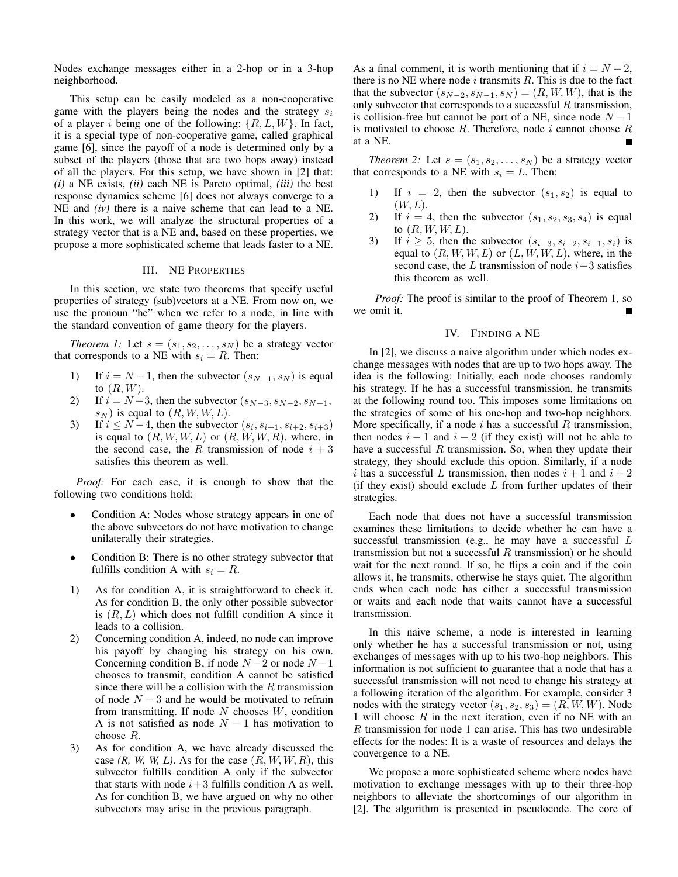Nodes exchange messages either in a 2-hop or in a 3-hop neighborhood.

This setup can be easily modeled as a non-cooperative game with the players being the nodes and the strategy  $s_i$ of a player *i* being one of the following:  $\{R, L, W\}$ . In fact, it is a special type of non-cooperative game, called graphical game [6], since the payoff of a node is determined only by a subset of the players (those that are two hops away) instead of all the players. For this setup, we have shown in [2] that: *(i)* a NE exists, *(ii)* each NE is Pareto optimal, *(iii)* the best response dynamics scheme [6] does not always converge to a NE and *(iv)* there is a naive scheme that can lead to a NE. In this work, we will analyze the structural properties of a strategy vector that is a NE and, based on these properties, we propose a more sophisticated scheme that leads faster to a NE.

## III. NE PROPERTIES

In this section, we state two theorems that specify useful properties of strategy (sub)vectors at a NE. From now on, we use the pronoun "he" when we refer to a node, in line with the standard convention of game theory for the players.

*Theorem 1:* Let  $s = (s_1, s_2, \ldots, s_N)$  be a strategy vector that corresponds to a NE with  $s_i = R$ . Then:

- 1) If  $i = N 1$ , then the subvector  $(s_{N-1}, s_N)$  is equal to  $(R, W)$ .
- 2) If  $i = N-3$ , then the subvector  $(s_{N-3}, s_{N-2}, s_{N-1},$  $s_N$ ) is equal to  $(R, W, W, L)$ .
- 3) If  $i \le N-4$ , then the subvector  $(s_i, s_{i+1}, s_{i+2}, s_{i+3})$ is equal to  $(R, W, W, L)$  or  $(R, W, W, R)$ , where, in the second case, the R transmission of node  $i + 3$ satisfies this theorem as well.

*Proof:* For each case, it is enough to show that the following two conditions hold:

- Condition A: Nodes whose strategy appears in one of the above subvectors do not have motivation to change unilaterally their strategies.
- Condition B: There is no other strategy subvector that fulfills condition A with  $s_i = R$ .
- 1) As for condition A, it is straightforward to check it. As for condition B, the only other possible subvector is  $(R, L)$  which does not fulfill condition A since it leads to a collision.
- 2) Concerning condition A, indeed, no node can improve his payoff by changing his strategy on his own. Concerning condition B, if node  $N-2$  or node  $N-1$ chooses to transmit, condition A cannot be satisfied since there will be a collision with the  $R$  transmission of node  $N-3$  and he would be motivated to refrain from transmitting. If node  $N$  chooses  $W$ , condition A is not satisfied as node  $N - 1$  has motivation to choose R.
- 3) As for condition A, we have already discussed the case  $(R, W, W, L)$ . As for the case  $(R, W, W, R)$ , this subvector fulfills condition A only if the subvector that starts with node  $i+3$  fulfills condition A as well. As for condition B, we have argued on why no other subvectors may arise in the previous paragraph.

As a final comment, it is worth mentioning that if  $i = N - 2$ , there is no NE where node  $i$  transmits  $R$ . This is due to the fact that the subvector  $(s_{N-2}, s_{N-1}, s_N) = (R, W, W)$ , that is the only subvector that corresponds to a successful  $R$  transmission, is collision-free but cannot be part of a NE, since node  $N - 1$ is motivated to choose  $R$ . Therefore, node  $i$  cannot choose  $R$ at a NE.

*Theorem 2:* Let  $s = (s_1, s_2, \ldots, s_N)$  be a strategy vector that corresponds to a NE with  $s_i = L$ . Then:

- 1) If  $i = 2$ , then the subvector  $(s_1, s_2)$  is equal to  $(W, L)$ .
- 2) If  $i = 4$ , then the subvector  $(s_1, s_2, s_3, s_4)$  is equal to  $(R, W, W, L)$ .
- 3) If  $i \ge 5$ , then the subvector  $(s_{i-3}, s_{i-2}, s_{i-1}, s_i)$  is equal to  $(R, W, W, L)$  or  $(L, W, W, L)$ , where, in the second case, the L transmission of node  $i-3$  satisfies this theorem as well.

*Proof:* The proof is similar to the proof of Theorem 1, so we omit it.

#### IV. FINDING A NE

In [2], we discuss a naive algorithm under which nodes exchange messages with nodes that are up to two hops away. The idea is the following: Initially, each node chooses randomly his strategy. If he has a successful transmission, he transmits at the following round too. This imposes some limitations on the strategies of some of his one-hop and two-hop neighbors. More specifically, if a node  $i$  has a successful  $R$  transmission, then nodes  $i - 1$  and  $i - 2$  (if they exist) will not be able to have a successful  $R$  transmission. So, when they update their strategy, they should exclude this option. Similarly, if a node i has a successful L transmission, then nodes  $i + 1$  and  $i + 2$ (if they exist) should exclude  $L$  from further updates of their strategies.

Each node that does not have a successful transmission examines these limitations to decide whether he can have a successful transmission (e.g., he may have a successful  $L$ transmission but not a successful  $R$  transmission) or he should wait for the next round. If so, he flips a coin and if the coin allows it, he transmits, otherwise he stays quiet. The algorithm ends when each node has either a successful transmission or waits and each node that waits cannot have a successful transmission.

In this naive scheme, a node is interested in learning only whether he has a successful transmission or not, using exchanges of messages with up to his two-hop neighbors. This information is not sufficient to guarantee that a node that has a successful transmission will not need to change his strategy at a following iteration of the algorithm. For example, consider 3 nodes with the strategy vector  $(s_1, s_2, s_3) = (R, W, W)$ . Node 1 will choose  $R$  in the next iteration, even if no NE with an R transmission for node 1 can arise. This has two undesirable effects for the nodes: It is a waste of resources and delays the convergence to a NE.

We propose a more sophisticated scheme where nodes have motivation to exchange messages with up to their three-hop neighbors to alleviate the shortcomings of our algorithm in [2]. The algorithm is presented in pseudocode. The core of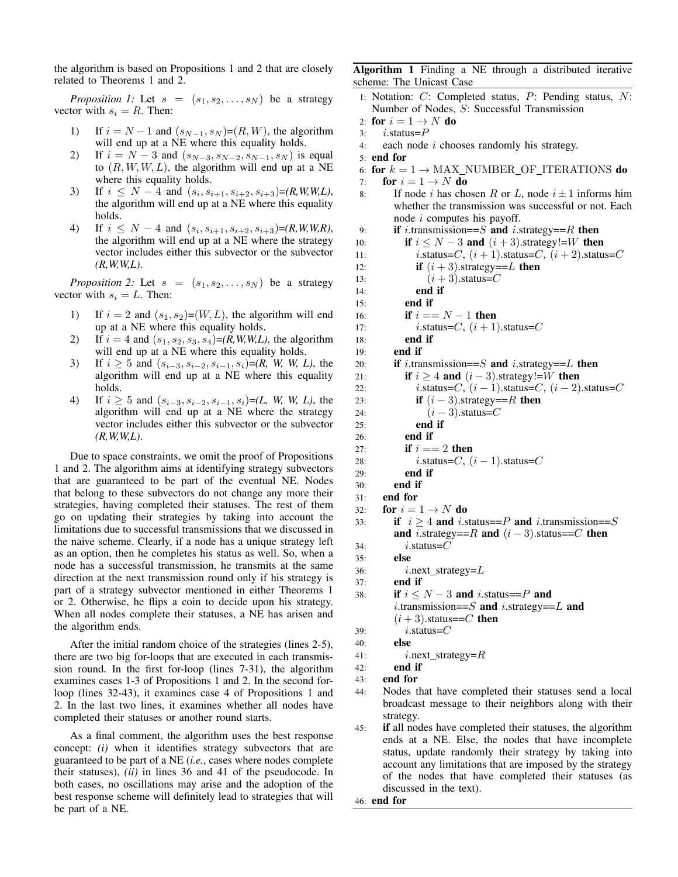the algorithm is based on Propositions 1 and 2 that are closely related to Theorems 1 and 2.

*Proposition 1:* Let  $s = (s_1, s_2, \ldots, s_N)$  be a strategy vector with  $s_i = R$ . Then:

- 1) If  $i = N 1$  and  $(s_{N-1}, s_N) = (R, W)$ , the algorithm will end up at a NE where this equality holds.
- 2) If  $i = N 3$  and  $(s_{N-3}, s_{N-2}, s_{N-1}, s_N)$  is equal to  $(R, W, W, L)$ , the algorithm will end up at a NE where this equality holds.
- 3) If  $i \leq N-4$  and  $(s_i, s_{i+1}, s_{i+2}, s_{i+3}) = (R, W, W, L)$ , the algorithm will end up at a NE where this equality holds.
- 4) If  $i \leq N-4$  and  $(s_i, s_{i+1}, s_{i+2}, s_{i+3}) = (R, W, W, R)$ , the algorithm will end up at a NE where the strategy vector includes either this subvector or the subvector *(R,W,W,L)*.

*Proposition 2:* Let  $s = (s_1, s_2, \ldots, s_N)$  be a strategy vector with  $s_i = L$ . Then:

- 1) If  $i = 2$  and  $(s_1, s_2) = (W, L)$ , the algorithm will end up at a NE where this equality holds.
- 2) If  $i = 4$  and  $(s_1, s_2, s_3, s_4) = (R, W, W, L)$ , the algorithm will end up at a NE where this equality holds.
- 3) If  $i \geq 5$  and  $(s_{i-3}, s_{i-2}, s_{i-1}, s_i) = (R, W, W, L)$ , the algorithm will end up at a NE where this equality holds.
- 4) If  $i \geq 5$  and  $(s_{i-3}, s_{i-2}, s_{i-1}, s_i) = (L, W, W, L)$ , the algorithm will end up at a NE where the strategy vector includes either this subvector or the subvector *(R,W,W,L)*.

Due to space constraints, we omit the proof of Propositions 1 and 2. The algorithm aims at identifying strategy subvectors that are guaranteed to be part of the eventual NE. Nodes that belong to these subvectors do not change any more their strategies, having completed their statuses. The rest of them go on updating their strategies by taking into account the limitations due to successful transmissions that we discussed in the naive scheme. Clearly, if a node has a unique strategy left as an option, then he completes his status as well. So, when a node has a successful transmission, he transmits at the same direction at the next transmission round only if his strategy is part of a strategy subvector mentioned in either Theorems 1 or 2. Otherwise, he flips a coin to decide upon his strategy. When all nodes complete their statuses, a NE has arisen and the algorithm ends.

After the initial random choice of the strategies (lines 2-5), there are two big for-loops that are executed in each transmission round. In the first for-loop (lines 7-31), the algorithm examines cases 1-3 of Propositions 1 and 2. In the second forloop (lines 32-43), it examines case 4 of Propositions 1 and 2. In the last two lines, it examines whether all nodes have completed their statuses or another round starts.

As a final comment, the algorithm uses the best response concept: *(i)* when it identifies strategy subvectors that are guaranteed to be part of a NE (*i.e.*, cases where nodes complete their statuses), *(ii)* in lines 36 and 41 of the pseudocode. In both cases, no oscillations may arise and the adoption of the best response scheme will definitely lead to strategies that will be part of a NE.

**Algorithm 1** Finding a NE through a distributed iterative scheme: The Unicast Case

- 1: Notation: C: Completed status, P: Pending status, N: Number of Nodes, S: Successful Transmission
- 2: **for**  $i = 1 \rightarrow N$  **do**
- 3:  $i$ .status= $P$
- 4: each node i chooses randomly his strategy.
- 5: **end for**
- 6: **for**  $k = 1 \rightarrow MAX\_NUMBER\_OF\_ITERATIONS$  **do**
- 7: **for**  $i = 1 \rightarrow N$  **do**

8: If node *i* has chosen R or L, node  $i \pm 1$  informs him whether the transmission was successful or not. Each node i computes his payoff.

9: **if** i.transmission==S **and** i.strategy==R **then** 10: **if**  $i \leq N - 3$  **and**  $(i + 3)$ . strategy!=W **then** 11: i.status= $C$ ,  $(i + 1)$ .status= $C$ ,  $(i + 2)$ .status= $C$ 12: **if**  $(i+3)$ . strategy==L **then** 

13:  $(i+3)$ .status= $C$ 

```
14: end if
```
15: **end if**

- 16: **if**  $i == N 1$  **then**
- 17: i.status= $C$ ,  $(i + 1)$ .status= $C$
- 18: **end if**

19: **end if**

- 20: **if** i.transmission==S **and** i.strategy==L **then**
- 21: **if**  $i \geq 4$  **and**  $(i-3)$ . strategy!=W **then**
- 22: i.status= $C, (i-1)$ .status= $C, (i-2)$ .status= $C$
- 23: **if**  $(i-3)$ . strategy==R **then**
- 24:  $(i-3)$ .status= $C$
- 25: **end if**
- 26: **end if**
- 27: **if**  $i == 2$  **then**
- 28: i.status= $C$ ,  $(i 1)$ .status= $C$
- 29: **end if**
- 30: **end if**

```
31: end for
```
- 32: **for**  $i = 1 \rightarrow N$  **do**
- 33: **if**  $i \ge 4$  **and** i.status==P **and** i.transmission==S **and** i.strategy==R **and**  $(i-3)$ .status==C **then**
- 34:  $i$ .status= $C$
- 35: **else**
- 36:  $i.next\_strategy = L$
- 37: **end if**
- 38: **if**  $i \leq N 3$  **and** i.status==P **and** *i*.transmission== $S$  and *i*.strategy== $L$  and  $(i + 3)$ .status== $C$  then 39:  $i$ .status= $C$

```
40: else
```
41:  $i.next\_strategy = R$ 

- 44: Nodes that have completed their statuses send a local broadcast message to their neighbors along with their strategy.
- 45: **if** all nodes have completed their statuses, the algorithm ends at a NE. Else, the nodes that have incomplete status, update randomly their strategy by taking into account any limitations that are imposed by the strategy of the nodes that have completed their statuses (as discussed in the text).

```
46: end for
```
<sup>42:</sup> **end if**

<sup>43:</sup> **end for**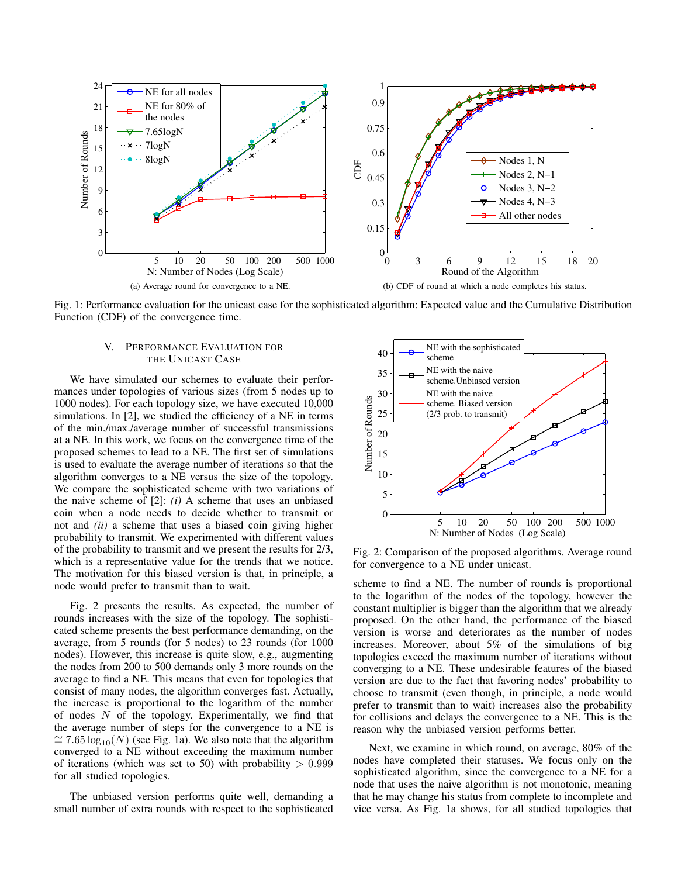

Fig. 1: Performance evaluation for the unicast case for the sophisticated algorithm: Expected value and the Cumulative Distribution Function (CDF) of the convergence time.

# V. PERFORMANCE EVALUATION FOR THE UNICAST CASE

We have simulated our schemes to evaluate their performances under topologies of various sizes (from 5 nodes up to 1000 nodes). For each topology size, we have executed 10,000 simulations. In [2], we studied the efficiency of a NE in terms of the min./max./average number of successful transmissions at a NE. In this work, we focus on the convergence time of the proposed schemes to lead to a NE. The first set of simulations is used to evaluate the average number of iterations so that the algorithm converges to a NE versus the size of the topology. We compare the sophisticated scheme with two variations of the naive scheme of [2]: *(i)* A scheme that uses an unbiased coin when a node needs to decide whether to transmit or not and *(ii)* a scheme that uses a biased coin giving higher probability to transmit. We experimented with different values of the probability to transmit and we present the results for 2/3, which is a representative value for the trends that we notice. The motivation for this biased version is that, in principle, a node would prefer to transmit than to wait.

Fig. 2 presents the results. As expected, the number of rounds increases with the size of the topology. The sophisticated scheme presents the best performance demanding, on the average, from 5 rounds (for 5 nodes) to 23 rounds (for 1000 nodes). However, this increase is quite slow, e.g., augmenting the nodes from 200 to 500 demands only 3 more rounds on the average to find a NE. This means that even for topologies that consist of many nodes, the algorithm converges fast. Actually, the increase is proportional to the logarithm of the number of nodes  $N$  of the topology. Experimentally, we find that the average number of steps for the convergence to a NE is  $\approx$  7.65 log<sub>10</sub>(N) (see Fig. 1a). We also note that the algorithm converged to a NE without exceeding the maximum number of iterations (which was set to 50) with probability  $> 0.999$ for all studied topologies.

The unbiased version performs quite well, demanding a small number of extra rounds with respect to the sophisticated



Fig. 2: Comparison of the proposed algorithms. Average round for convergence to a NE under unicast.

scheme to find a NE. The number of rounds is proportional to the logarithm of the nodes of the topology, however the constant multiplier is bigger than the algorithm that we already proposed. On the other hand, the performance of the biased version is worse and deteriorates as the number of nodes increases. Moreover, about 5% of the simulations of big topologies exceed the maximum number of iterations without converging to a NE. These undesirable features of the biased version are due to the fact that favoring nodes' probability to choose to transmit (even though, in principle, a node would prefer to transmit than to wait) increases also the probability for collisions and delays the convergence to a NE. This is the reason why the unbiased version performs better.

Next, we examine in which round, on average, 80% of the nodes have completed their statuses. We focus only on the sophisticated algorithm, since the convergence to a NE for a node that uses the naive algorithm is not monotonic, meaning that he may change his status from complete to incomplete and vice versa. As Fig. 1a shows, for all studied topologies that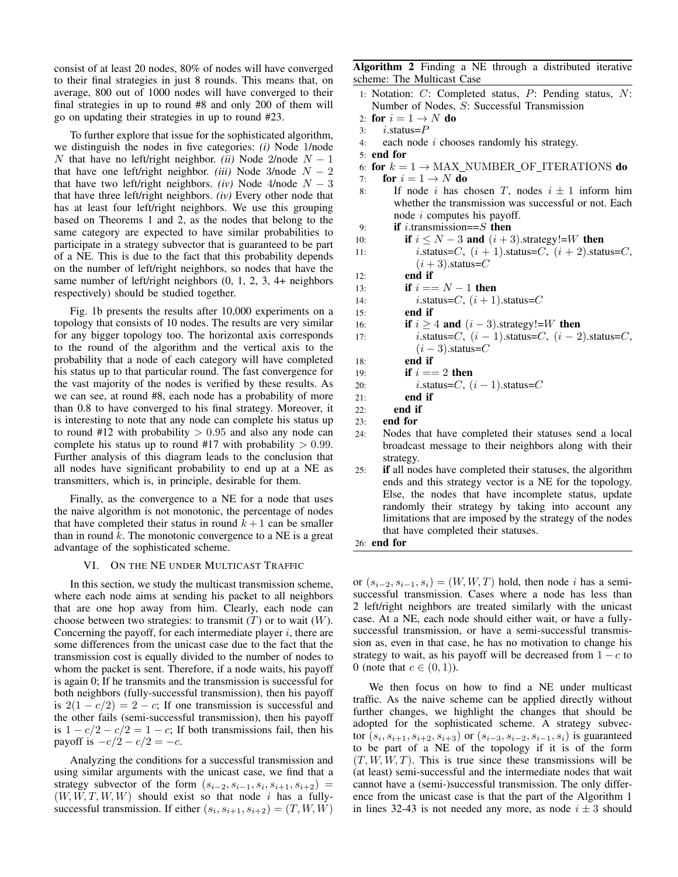consist of at least 20 nodes, 80% of nodes will have converged to their final strategies in just 8 rounds. This means that, on average, 800 out of 1000 nodes will have converged to their final strategies in up to round #8 and only 200 of them will go on updating their strategies in up to round #23.

To further explore that issue for the sophisticated algorithm, we distinguish the nodes in five categories: *(i)* Node 1/node N that have no left/right neighbor. *(ii)* Node  $2$ /node  $N - 1$ that have one left/right neighbor. *(iii)* Node 3/node  $N - 2$ that have two left/right neighbors. *(iv)* Node 4/node  $N - 3$ that have three left/right neighbors. *(iv)* Every other node that has at least four left/right neighbors. We use this grouping based on Theorems 1 and 2, as the nodes that belong to the same category are expected to have similar probabilities to participate in a strategy subvector that is guaranteed to be part of a NE. This is due to the fact that this probability depends on the number of left/right neighbors, so nodes that have the same number of left/right neighbors (0, 1, 2, 3, 4+ neighbors respectively) should be studied together.

Fig. 1b presents the results after 10,000 experiments on a topology that consists of 10 nodes. The results are very similar for any bigger topology too. The horizontal axis corresponds to the round of the algorithm and the vertical axis to the probability that a node of each category will have completed his status up to that particular round. The fast convergence for the vast majority of the nodes is verified by these results. As we can see, at round #8, each node has a probability of more than 0.8 to have converged to his final strategy. Moreover, it is interesting to note that any node can complete his status up to round  $#12$  with probability  $> 0.95$  and also any node can complete his status up to round #17 with probability  $> 0.99$ . Further analysis of this diagram leads to the conclusion that all nodes have significant probability to end up at a NE as transmitters, which is, in principle, desirable for them.

Finally, as the convergence to a NE for a node that uses the naive algorithm is not monotonic, the percentage of nodes that have completed their status in round  $k+1$  can be smaller than in round  $k$ . The monotonic convergence to a NE is a great advantage of the sophisticated scheme.

### VI. ON THE NE UNDER MULTICAST TRAFFIC

In this section, we study the multicast transmission scheme, where each node aims at sending his packet to all neighbors that are one hop away from him. Clearly, each node can choose between two strategies: to transmit  $(T)$  or to wait  $(W)$ . Concerning the payoff, for each intermediate player  $i$ , there are some differences from the unicast case due to the fact that the transmission cost is equally divided to the number of nodes to whom the packet is sent. Therefore, if a node waits, his payoff is again 0; If he transmits and the transmission is successful for both neighbors (fully-successful transmission), then his payoff is  $2(1 - c/2) = 2 - c$ ; If one transmission is successful and the other fails (semi-successful transmission), then his payoff is  $1 - c/2 - c/2 = 1 - c$ ; If both transmissions fail, then his payoff is  $-c/2 - c/2 = -c$ .

Analyzing the conditions for a successful transmission and using similar arguments with the unicast case, we find that a strategy subvector of the form  $(s_{i-2}, s_{i-1}, s_i, s_{i+1}, s_{i+2}) =$  $(W, W, T, W, W)$  should exist so that node i has a fullysuccessful transmission. If either  $(s_i, s_{i+1}, s_{i+2}) = (T, W, W)$ 

**Algorithm 2** Finding a NE through a distributed iterative scheme: The Multicast Case

- 1: Notation: C: Completed status, P: Pending status, N: Number of Nodes, S: Successful Transmission
- 2: **for**  $i = 1 \rightarrow N$  **do**
- 3:  $i$ .status= $P$
- 4: each node i chooses randomly his strategy.
- 5: **end for**
- 6: **for**  $k = 1 \rightarrow MAX\_NUMBER\_OF\_ITERATIONS$  **do**
- 7: **for**  $i = 1 \rightarrow N$  **do**
- 8: If node i has chosen T, nodes  $i \pm 1$  inform him whether the transmission was successful or not. Each node i computes his payoff.

9: **if** i.transmission==S **then**

- 10: **if**  $i \leq N 3$  **and**  $(i + 3)$ . strategy!=W **then**
- 11: i.status= $C$ ,  $(i + 1)$ .status= $C$ ,  $(i + 2)$ .status= $C$ ,  $(i + 3)$ .status= $C$
- 12: **end if**
- 13: **if**  $i == N 1$  **then**

14: *i.status=C*,  $(i + 1)$ .status=C

- 15: **end if**
- 16: **if**  $i > 4$  **and**  $(i 3)$ . strategy!=W **then**
- 17: i.status= $C$ ,  $(i 1)$ .status= $C$ ,  $(i 2)$ .status= $C$ ,  $(i-3)$ .status= $C$
- 18: **end if**
- 19: **if**  $i == 2$  **then**

20: i.status= $C$ ,  $(i - 1)$ .status= $C$ 

```
21: end if
```
22: **end if**

- 23: **end for**
- 24: Nodes that have completed their statuses send a local broadcast message to their neighbors along with their strategy.
- 25: **if** all nodes have completed their statuses, the algorithm ends and this strategy vector is a NE for the topology. Else, the nodes that have incomplete status, update randomly their strategy by taking into account any limitations that are imposed by the strategy of the nodes that have completed their statuses.
- 26: **end for**

or  $(s_{i-2}, s_{i-1}, s_i) = (W, W, T)$  hold, then node i has a semisuccessful transmission. Cases where a node has less than 2 left/right neighbors are treated similarly with the unicast case. At a NE, each node should either wait, or have a fullysuccessful transmission, or have a semi-successful transmission as, even in that case, he has no motivation to change his strategy to wait, as his payoff will be decreased from  $1 - c$  to 0 (note that  $c \in (0,1)$ ).

We then focus on how to find a NE under multicast traffic. As the naive scheme can be applied directly without further changes, we highlight the changes that should be adopted for the sophisticated scheme. A strategy subvector  $(s_i, s_{i+1}, s_{i+2}, s_{i+3})$  or  $(s_{i-3}, s_{i-2}, s_{i-1}, s_i)$  is guaranteed to be part of a NE of the topology if it is of the form  $(T, W, W, T)$ . This is true since these transmissions will be (at least) semi-successful and the intermediate nodes that wait cannot have a (semi-)successful transmission. The only difference from the unicast case is that the part of the Algorithm 1 in lines 32-43 is not needed any more, as node  $i \pm 3$  should